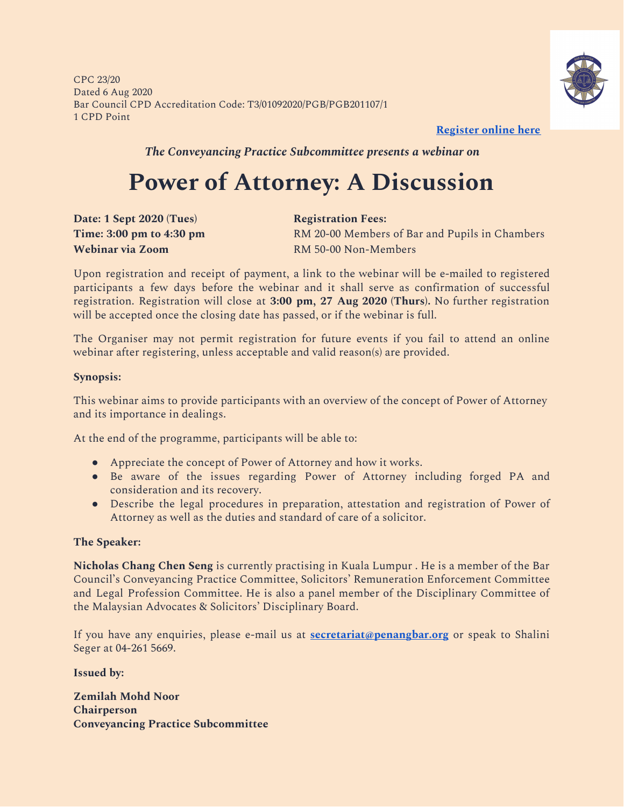CPC 23/20 Dated 6 Aug 2020 Bar Council CPD Accreditation Code: T3/01092020/PGB/PGB201107/1 1 CPD Point



**[Register](https://forms.gle/i5NbkUoaPipnke2r5) online her[e](https://forms.gle/i5NbkUoaPipnke2r5)**

*The Conveyancing Practice Subcommittee presents a webinar on*

## **Power of Attorney: A Discussion**

**Date: 1 Sept 2020 (Tues) Registration Fees: Webinar via Zoom** RM 50-00 Non-Members

**Time:** 3:00 pm to 4:30 pm

Upon registration and receipt of payment, a link to the webinar will be e-mailed to registered participants a few days before the webinar and it shall serve as confirmation of successful registration. Registration will close at **3:00 pm, 27 Aug 2020 (Thurs).** No further registration will be accepted once the closing date has passed, or if the webinar is full.

The Organiser may not permit registration for future events if you fail to attend an online webinar after registering, unless acceptable and valid reason(s) are provided.

#### **Synopsis:**

This webinar aims to provide participants with an overview of the concept of Power of Attorney and its importance in dealings.

At the end of the programme, participants will be able to:

- Appreciate the concept of Power of Attorney and how it works.
- Be aware of the issues regarding Power of Attorney including forged PA and consideration and its recovery.
- Describe the legal procedures in preparation, attestation and registration of Power of Attorney as well as the duties and standard of care of a solicitor.

#### **The Speaker:**

**Nicholas Chang Chen Seng** is currently practising in Kuala Lumpur . He is a member of the Bar Council's Conveyancing Practice Committee, Solicitors' Remuneration Enforcement Committee and Legal Profession Committee. He is also a panel member of the Disciplinary Committee of the Malaysian Advocates & Solicitors' Disciplinary Board.

If you have any enquiries, please e-mail us at **[secretariat@penangbar.org](mailto:secretariat@penangbar.org)** or speak to Shalini Seger at 04-261 5669.

**Issued by:**

**Zemilah Mohd Noor Chairperson Conveyancing Practice Subcommittee**